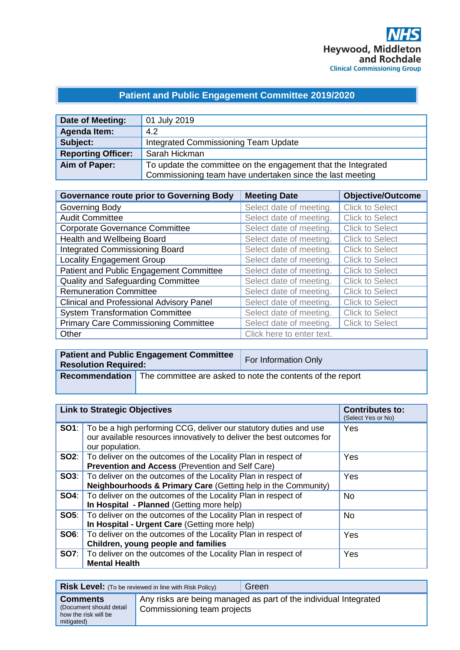# **Patient and Public Engagement Committee 2019/2020**

| Date of Meeting:          | 01 July 2019                                                                                                               |
|---------------------------|----------------------------------------------------------------------------------------------------------------------------|
| <b>Agenda Item:</b>       | 4.2                                                                                                                        |
| Subject:                  | Integrated Commissioning Team Update                                                                                       |
| <b>Reporting Officer:</b> | Sarah Hickman                                                                                                              |
| Aim of Paper:             | To update the committee on the engagement that the Integrated<br>Commissioning team have undertaken since the last meeting |

| <b>Governance route prior to Governing Body</b> | <b>Meeting Date</b>       | <b>Objective/Outcome</b> |
|-------------------------------------------------|---------------------------|--------------------------|
| Governing Body                                  | Select date of meeting.   | <b>Click to Select</b>   |
| <b>Audit Committee</b>                          | Select date of meeting.   | <b>Click to Select</b>   |
| <b>Corporate Governance Committee</b>           | Select date of meeting.   | <b>Click to Select</b>   |
| Health and Wellbeing Board                      | Select date of meeting.   | <b>Click to Select</b>   |
| <b>Integrated Commissioning Board</b>           | Select date of meeting.   | <b>Click to Select</b>   |
| <b>Locality Engagement Group</b>                | Select date of meeting.   | <b>Click to Select</b>   |
| Patient and Public Engagement Committee         | Select date of meeting.   | <b>Click to Select</b>   |
| Quality and Safeguarding Committee              | Select date of meeting.   | <b>Click to Select</b>   |
| <b>Remuneration Committee</b>                   | Select date of meeting.   | <b>Click to Select</b>   |
| Clinical and Professional Advisory Panel        | Select date of meeting.   | <b>Click to Select</b>   |
| <b>System Transformation Committee</b>          | Select date of meeting.   | <b>Click to Select</b>   |
| <b>Primary Care Commissioning Committee</b>     | Select date of meeting.   | <b>Click to Select</b>   |
| Other                                           | Click here to enter text. |                          |

| Patient and Public Engagement Committee<br><b>Resolution Required:</b> |                                                                                  | <b>For Information Only</b> |
|------------------------------------------------------------------------|----------------------------------------------------------------------------------|-----------------------------|
|                                                                        | <b>Recommendation</b> The committee are asked to note the contents of the report |                             |

| <b>Link to Strategic Objectives</b> |                                                                                                                                                               | <b>Contributes to:</b><br>(Select Yes or No) |
|-------------------------------------|---------------------------------------------------------------------------------------------------------------------------------------------------------------|----------------------------------------------|
| SO1:                                | To be a high performing CCG, deliver our statutory duties and use<br>our available resources innovatively to deliver the best outcomes for<br>our population. | Yes                                          |
|                                     | <b>SO2:</b>   To deliver on the outcomes of the Locality Plan in respect of<br><b>Prevention and Access (Prevention and Self Care)</b>                        | Yes                                          |
|                                     | <b>SO3</b> : To deliver on the outcomes of the Locality Plan in respect of<br>Neighbourhoods & Primary Care (Getting help in the Community)                   | Yes                                          |
| SO4:                                | To deliver on the outcomes of the Locality Plan in respect of<br>In Hospital - Planned (Getting more help)                                                    | No.                                          |
| SOS:                                | To deliver on the outcomes of the Locality Plan in respect of<br>In Hospital - Urgent Care (Getting more help)                                                | <b>No</b>                                    |
| SO6:                                | To deliver on the outcomes of the Locality Plan in respect of<br>Children, young people and families                                                          | Yes                                          |
| <b>SO7:</b>                         | To deliver on the outcomes of the Locality Plan in respect of<br><b>Mental Health</b>                                                                         | Yes                                          |

**Risk Level:** (To be reviewed in line with Risk Policy) Green **Comments** (Document should detail how the risk will be mitigated) Any risks are being managed as part of the individual Integrated Commissioning team projects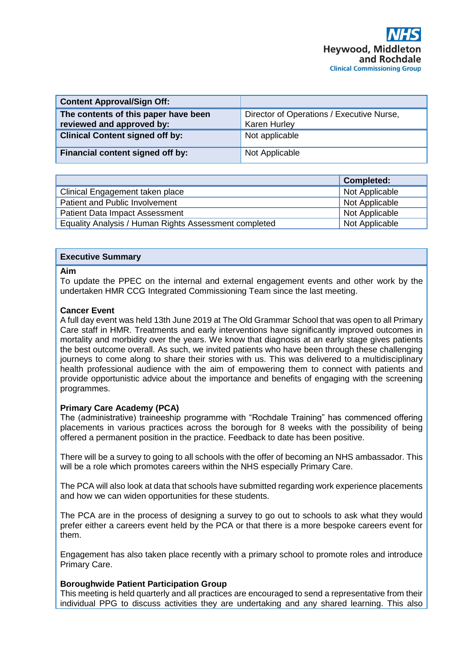| <b>Content Approval/Sign Off:</b>                                 |                                                                  |
|-------------------------------------------------------------------|------------------------------------------------------------------|
| The contents of this paper have been<br>reviewed and approved by: | Director of Operations / Executive Nurse,<br><b>Karen Hurley</b> |
| <b>Clinical Content signed off by:</b>                            | Not applicable                                                   |
| Financial content signed off by:                                  | Not Applicable                                                   |

|                                                       | <b>Completed:</b> |
|-------------------------------------------------------|-------------------|
| Clinical Engagement taken place                       | Not Applicable    |
| Patient and Public Involvement                        | Not Applicable    |
| <b>Patient Data Impact Assessment</b>                 | Not Applicable    |
| Equality Analysis / Human Rights Assessment completed | Not Applicable    |

# **Executive Summary**

#### **Aim**

To update the PPEC on the internal and external engagement events and other work by the undertaken HMR CCG Integrated Commissioning Team since the last meeting.

# **Cancer Event**

A full day event was held 13th June 2019 at The Old Grammar School that was open to all Primary Care staff in HMR. Treatments and early interventions have significantly improved outcomes in mortality and morbidity over the years. We know that diagnosis at an early stage gives patients the best outcome overall. As such, we invited patients who have been through these challenging journeys to come along to share their stories with us. This was delivered to a multidisciplinary health professional audience with the aim of empowering them to connect with patients and provide opportunistic advice about the importance and benefits of engaging with the screening programmes.

# **Primary Care Academy (PCA)**

The (administrative) traineeship programme with "Rochdale Training" has commenced offering placements in various practices across the borough for 8 weeks with the possibility of being offered a permanent position in the practice. Feedback to date has been positive.

There will be a survey to going to all schools with the offer of becoming an NHS ambassador. This will be a role which promotes careers within the NHS especially Primary Care.

The PCA will also look at data that schools have submitted regarding work experience placements and how we can widen opportunities for these students.

The PCA are in the process of designing a survey to go out to schools to ask what they would prefer either a careers event held by the PCA or that there is a more bespoke careers event for them.

Engagement has also taken place recently with a primary school to promote roles and introduce Primary Care.

# **Boroughwide Patient Participation Group**

This meeting is held quarterly and all practices are encouraged to send a representative from their individual PPG to discuss activities they are undertaking and any shared learning. This also